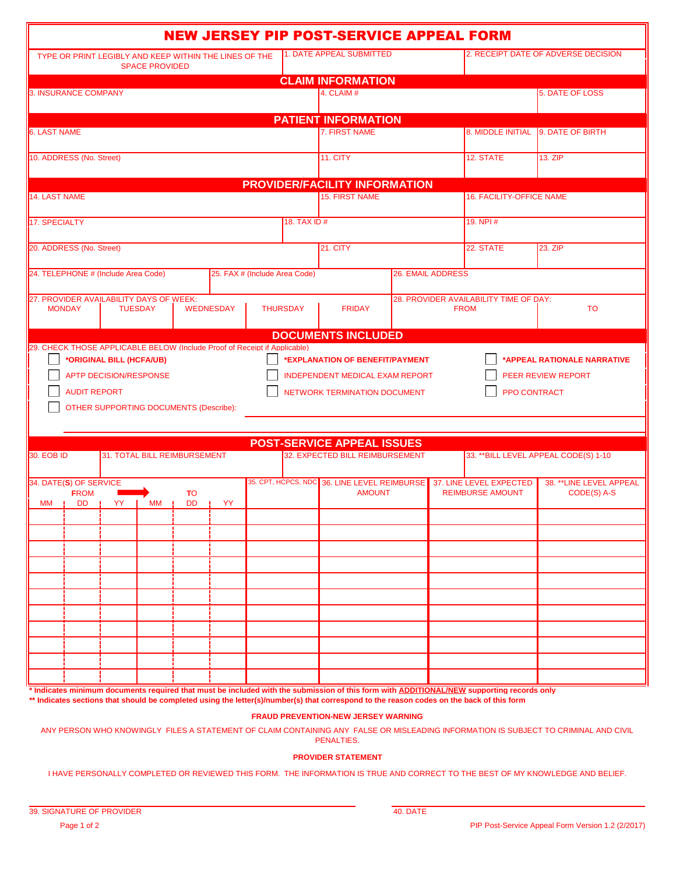|                                                                                                                                                                                                                                                                                                                            | <b>NEW JERSEY PIP POST-SERVICE APPEAL FORM</b> |                      |                                                                      |  |             |                                        |                                       |  |  |
|----------------------------------------------------------------------------------------------------------------------------------------------------------------------------------------------------------------------------------------------------------------------------------------------------------------------------|------------------------------------------------|----------------------|----------------------------------------------------------------------|--|-------------|----------------------------------------|---------------------------------------|--|--|
| TYPE OR PRINT LEGIBLY AND KEEP WITHIN THE LINES OF THE<br><b>SPACE PROVIDED</b>                                                                                                                                                                                                                                            |                                                |                      | <b>1. DATE APPEAL SUBMITTED</b>                                      |  |             |                                        | 2. RECEIPT DATE OF ADVERSE DECISION   |  |  |
|                                                                                                                                                                                                                                                                                                                            |                                                |                      | <b>CLAIM INFORMATION</b>                                             |  |             |                                        |                                       |  |  |
| 3. INSURANCE COMPANY                                                                                                                                                                                                                                                                                                       |                                                |                      | 4. CLAIM $#$                                                         |  |             |                                        | <b>5. DATE OF LOSS</b>                |  |  |
|                                                                                                                                                                                                                                                                                                                            |                                                |                      | <b>PATIENT INFORMATION</b>                                           |  |             |                                        |                                       |  |  |
| <b>6. LAST NAME</b>                                                                                                                                                                                                                                                                                                        |                                                | <b>7. FIRST NAME</b> |                                                                      |  |             | 8. MIDDLE INITIAL 9. DATE OF BIRTH     |                                       |  |  |
| 10. ADDRESS (No. Street)                                                                                                                                                                                                                                                                                                   |                                                | <b>11. CITY</b>      |                                                                      |  | 12. STATE   | 13. ZIP                                |                                       |  |  |
| <b>PROVIDER/FACILITY INFORMATION</b>                                                                                                                                                                                                                                                                                       |                                                |                      |                                                                      |  |             |                                        |                                       |  |  |
| 14. LAST NAME                                                                                                                                                                                                                                                                                                              |                                                |                      | <b>15. FIRST NAME</b>                                                |  |             | <b>16. FACILITY-OFFICE NAME</b>        |                                       |  |  |
| 17. SPECIALTY                                                                                                                                                                                                                                                                                                              |                                                |                      | <b>18. TAX ID#</b>                                                   |  |             | 19. NPI#                               |                                       |  |  |
| 20. ADDRESS (No. Street)                                                                                                                                                                                                                                                                                                   |                                                |                      | 21. CITY                                                             |  |             | <b>22. STATE</b>                       | $23.$ ZIP                             |  |  |
| 24. TELEPHONE # (Include Area Code)<br>25. FAX # (Include Area Code)                                                                                                                                                                                                                                                       |                                                |                      | <b>26. EMAIL ADDRESS</b>                                             |  |             |                                        |                                       |  |  |
| 27. PROVIDER AVAILABILITY DAYS OF WEEK:<br><b>MONDAY</b><br><b>TUESDAY</b>                                                                                                                                                                                                                                                 | <b>WEDNESDAY</b>                               | <b>THURSDAY</b>      | <b>FRIDAY</b>                                                        |  | <b>FROM</b> | 28. PROVIDER AVAILABILITY TIME OF DAY: | <b>TO</b>                             |  |  |
|                                                                                                                                                                                                                                                                                                                            |                                                |                      | <b>DOCUMENTS INCLUDED</b>                                            |  |             |                                        |                                       |  |  |
| *ORIGINAL BILL (HCFA/UB)<br>*APPEAL RATIONALE NARRATIVE<br>*EXPLANATION OF BENEFIT/PAYMENT<br><b>APTP DECISION/RESPONSE</b><br>INDEPENDENT MEDICAL EXAM REPORT<br>PEER REVIEW REPORT<br><b>AUDIT REPORT</b><br><b>NETWORK TERMINATION DOCUMENT</b><br><b>PPO CONTRACT</b><br><b>OTHER SUPPORTING DOCUMENTS (Describe):</b> |                                                |                      |                                                                      |  |             |                                        |                                       |  |  |
|                                                                                                                                                                                                                                                                                                                            |                                                |                      |                                                                      |  |             |                                        |                                       |  |  |
| 30. EOB ID<br><b>31. TOTAL BILL REIMBURSEMENT</b>                                                                                                                                                                                                                                                                          |                                                |                      | <b>POST-SERVICE APPEAL ISSUES</b><br>32. EXPECTED BILL REIMBURSEMENT |  |             |                                        | 33. ** BILL LEVEL APPEAL CODE(S) 1-10 |  |  |
| 34. DATE(S) OF SERVICE                                                                                                                                                                                                                                                                                                     |                                                |                      | 35. CPT, HCPCS, NDC 36. LINE LEVEL REIMBURSE                         |  |             | <b>37. LINE LEVEL EXPECTED</b>         | 38. ** LINE LEVEL APPEAL              |  |  |
| <b>FROM</b><br><b>TO</b><br><b>DD</b><br>DD  <br><b>YY</b><br>МM<br>МM<br>- 11<br>- 11                                                                                                                                                                                                                                     | YY                                             |                      | <b>AMOUNT</b>                                                        |  |             | <b>REIMBURSE AMOUNT</b>                | CODE(S) A-S                           |  |  |
|                                                                                                                                                                                                                                                                                                                            |                                                |                      |                                                                      |  |             |                                        |                                       |  |  |
|                                                                                                                                                                                                                                                                                                                            |                                                |                      |                                                                      |  |             |                                        |                                       |  |  |
|                                                                                                                                                                                                                                                                                                                            |                                                |                      |                                                                      |  |             |                                        |                                       |  |  |
|                                                                                                                                                                                                                                                                                                                            |                                                |                      |                                                                      |  |             |                                        |                                       |  |  |
|                                                                                                                                                                                                                                                                                                                            |                                                |                      |                                                                      |  |             |                                        |                                       |  |  |
|                                                                                                                                                                                                                                                                                                                            |                                                |                      |                                                                      |  |             |                                        |                                       |  |  |
|                                                                                                                                                                                                                                                                                                                            |                                                |                      |                                                                      |  |             |                                        |                                       |  |  |
|                                                                                                                                                                                                                                                                                                                            |                                                |                      |                                                                      |  |             |                                        |                                       |  |  |
|                                                                                                                                                                                                                                                                                                                            |                                                |                      |                                                                      |  |             |                                        |                                       |  |  |
|                                                                                                                                                                                                                                                                                                                            |                                                |                      |                                                                      |  |             |                                        |                                       |  |  |
|                                                                                                                                                                                                                                                                                                                            |                                                |                      |                                                                      |  |             |                                        |                                       |  |  |
|                                                                                                                                                                                                                                                                                                                            |                                                |                      |                                                                      |  |             |                                        |                                       |  |  |
| * Indicates minimum documents required that must be included with the submission of this form with ADDITIONAL/NEW supporting records only<br>** Indicates sections that should be completed using the letter(s)/number(s) that correspond to the reason codes on the back of this form                                     |                                                |                      |                                                                      |  |             |                                        |                                       |  |  |
|                                                                                                                                                                                                                                                                                                                            |                                                |                      | <b>FRAUD PREVENTION-NEW JERSEY WARNING</b>                           |  |             |                                        |                                       |  |  |

ANY PERSON WHO KNOWINGLY FILES A STATEMENT OF CLAIM CONTAINING ANY FALSE OR MISLEADING INFORMATION IS SUBJECT TO CRIMINAL AND CIVIL PENALTIES.

## **PROVIDER STATEMENT**

I HAVE PERSONALLY COMPLETED OR REVIEWED THIS FORM. THE INFORMATION IS TRUE AND CORRECT TO THE BEST OF MY KNOWLEDGE AND BELIEF.